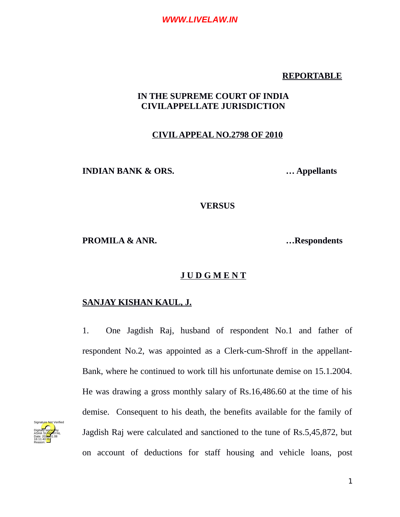### **REPORTABLE**

## **IN THE SUPREME COURT OF INDIA CIVILAPPELLATE JURISDICTION**

### **CIVIL APPEAL NO.2798 OF 2010**

**INDIAN BANK & ORS. … Appellants**

#### **VERSUS**

**PROMILA & ANR. …Respondents**

#### **J U D G M E N T**

# **SANJAY KISHAN KAUL, J.**

1. One Jagdish Raj, husband of respondent No.1 and father of respondent No.2, was appointed as a Clerk-cum-Shroff in the appellant-Bank, where he continued to work till his unfortunate demise on 15.1.2004. He was drawing a gross monthly salary of Rs.16,486.60 at the time of his demise. Consequent to his death, the benefits available for the family of Jagdish Raj were calculated and sanctioned to the tune of Rs.5,45,872, but on account of deductions for staff housing and vehicle loans, post

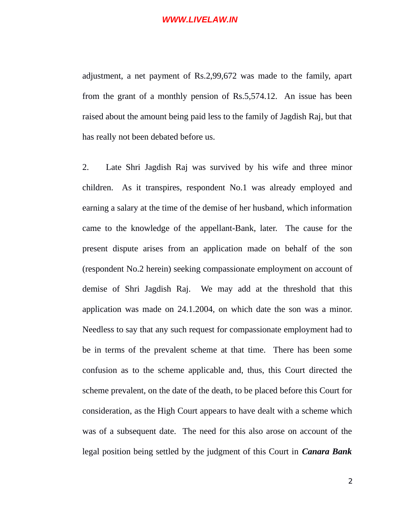adjustment, a net payment of Rs.2,99,672 was made to the family, apart from the grant of a monthly pension of Rs.5,574.12. An issue has been raised about the amount being paid less to the family of Jagdish Raj, but that has really not been debated before us.

2. Late Shri Jagdish Raj was survived by his wife and three minor children. As it transpires, respondent No.1 was already employed and earning a salary at the time of the demise of her husband, which information came to the knowledge of the appellant-Bank, later. The cause for the present dispute arises from an application made on behalf of the son (respondent No.2 herein) seeking compassionate employment on account of demise of Shri Jagdish Raj. We may add at the threshold that this application was made on 24.1.2004, on which date the son was a minor. Needless to say that any such request for compassionate employment had to be in terms of the prevalent scheme at that time. There has been some confusion as to the scheme applicable and, thus, this Court directed the scheme prevalent, on the date of the death, to be placed before this Court for consideration, as the High Court appears to have dealt with a scheme which was of a subsequent date. The need for this also arose on account of the legal position being settled by the judgment of this Court in *Canara Bank*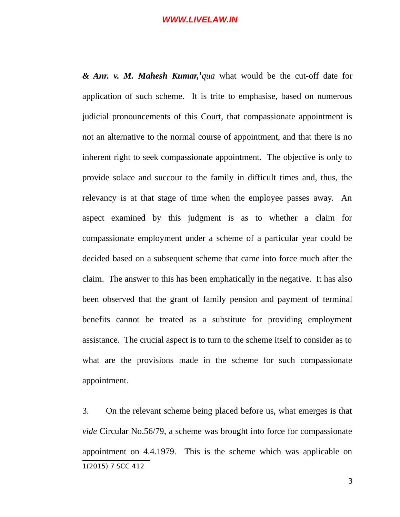*& Anr. v. M. Mahesh Kumar,[1](#page-2-0) qua* what would be the cut-off date for application of such scheme. It is trite to emphasise, based on numerous judicial pronouncements of this Court, that compassionate appointment is not an alternative to the normal course of appointment, and that there is no inherent right to seek compassionate appointment. The objective is only to provide solace and succour to the family in difficult times and, thus, the relevancy is at that stage of time when the employee passes away. An aspect examined by this judgment is as to whether a claim for compassionate employment under a scheme of a particular year could be decided based on a subsequent scheme that came into force much after the claim. The answer to this has been emphatically in the negative. It has also been observed that the grant of family pension and payment of terminal benefits cannot be treated as a substitute for providing employment assistance. The crucial aspect is to turn to the scheme itself to consider as to what are the provisions made in the scheme for such compassionate appointment.

<span id="page-2-0"></span>3. On the relevant scheme being placed before us, what emerges is that *vide* Circular No.56/79, a scheme was brought into force for compassionate appointment on 4.4.1979. This is the scheme which was applicable on 1(2015) 7 SCC 412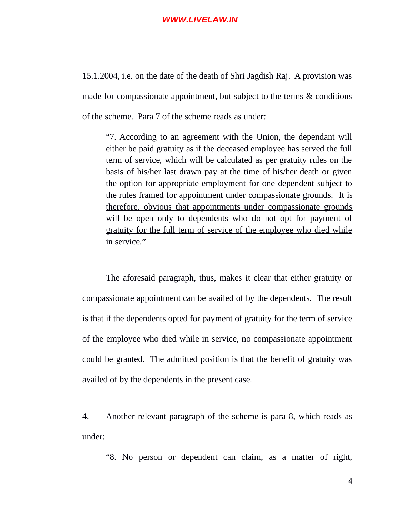15.1.2004, i.e. on the date of the death of Shri Jagdish Raj. A provision was made for compassionate appointment, but subject to the terms & conditions of the scheme. Para 7 of the scheme reads as under:

"7. According to an agreement with the Union, the dependant will either be paid gratuity as if the deceased employee has served the full term of service, which will be calculated as per gratuity rules on the basis of his/her last drawn pay at the time of his/her death or given the option for appropriate employment for one dependent subject to the rules framed for appointment under compassionate grounds. It is therefore, obvious that appointments under compassionate grounds will be open only to dependents who do not opt for payment of gratuity for the full term of service of the employee who died while in service."

The aforesaid paragraph, thus, makes it clear that either gratuity or compassionate appointment can be availed of by the dependents. The result is that if the dependents opted for payment of gratuity for the term of service of the employee who died while in service, no compassionate appointment could be granted. The admitted position is that the benefit of gratuity was availed of by the dependents in the present case.

4. Another relevant paragraph of the scheme is para 8, which reads as under:

"8. No person or dependent can claim, as a matter of right,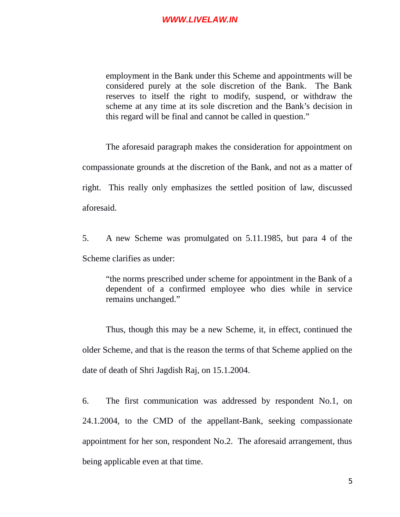employment in the Bank under this Scheme and appointments will be considered purely at the sole discretion of the Bank. The Bank reserves to itself the right to modify, suspend, or withdraw the scheme at any time at its sole discretion and the Bank's decision in this regard will be final and cannot be called in question."

The aforesaid paragraph makes the consideration for appointment on compassionate grounds at the discretion of the Bank, and not as a matter of right. This really only emphasizes the settled position of law, discussed aforesaid.

5. A new Scheme was promulgated on 5.11.1985, but para 4 of the Scheme clarifies as under:

"the norms prescribed under scheme for appointment in the Bank of a dependent of a confirmed employee who dies while in service remains unchanged."

Thus, though this may be a new Scheme, it, in effect, continued the older Scheme, and that is the reason the terms of that Scheme applied on the date of death of Shri Jagdish Raj, on 15.1.2004.

6. The first communication was addressed by respondent No.1, on 24.1.2004, to the CMD of the appellant-Bank, seeking compassionate appointment for her son, respondent No.2. The aforesaid arrangement, thus being applicable even at that time.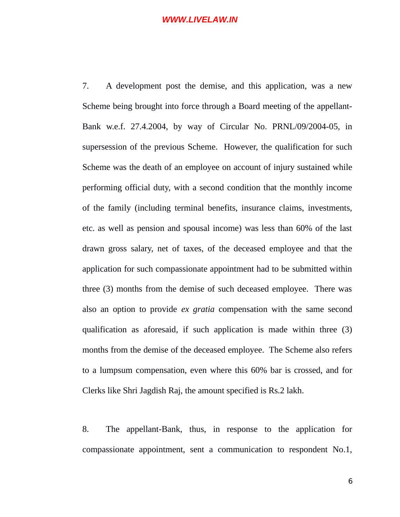7. A development post the demise, and this application, was a new Scheme being brought into force through a Board meeting of the appellant-Bank w.e.f. 27.4.2004, by way of Circular No. PRNL/09/2004-05, in supersession of the previous Scheme. However, the qualification for such Scheme was the death of an employee on account of injury sustained while performing official duty, with a second condition that the monthly income of the family (including terminal benefits, insurance claims, investments, etc. as well as pension and spousal income) was less than 60% of the last drawn gross salary, net of taxes, of the deceased employee and that the application for such compassionate appointment had to be submitted within three (3) months from the demise of such deceased employee. There was also an option to provide *ex gratia* compensation with the same second qualification as aforesaid, if such application is made within three (3) months from the demise of the deceased employee. The Scheme also refers to a lumpsum compensation, even where this 60% bar is crossed, and for Clerks like Shri Jagdish Raj, the amount specified is Rs.2 lakh.

8. The appellant-Bank, thus, in response to the application for compassionate appointment, sent a communication to respondent No.1,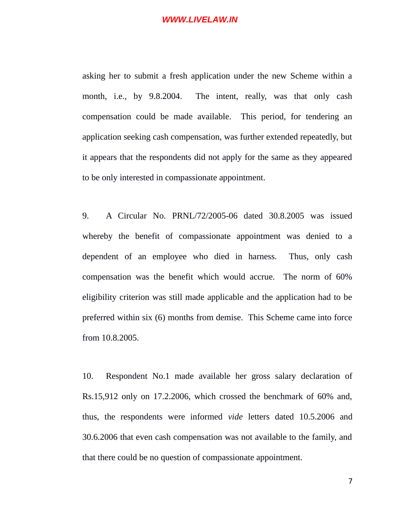asking her to submit a fresh application under the new Scheme within a month, i.e., by 9.8.2004. The intent, really, was that only cash compensation could be made available. This period, for tendering an application seeking cash compensation, was further extended repeatedly, but it appears that the respondents did not apply for the same as they appeared to be only interested in compassionate appointment.

9. A Circular No. PRNL/72/2005-06 dated 30.8.2005 was issued whereby the benefit of compassionate appointment was denied to a dependent of an employee who died in harness. Thus, only cash compensation was the benefit which would accrue. The norm of 60% eligibility criterion was still made applicable and the application had to be preferred within six (6) months from demise. This Scheme came into force from 10.8.2005.

10. Respondent No.1 made available her gross salary declaration of Rs.15,912 only on 17.2.2006, which crossed the benchmark of 60% and, thus, the respondents were informed *vide* letters dated 10.5.2006 and 30.6.2006 that even cash compensation was not available to the family, and that there could be no question of compassionate appointment.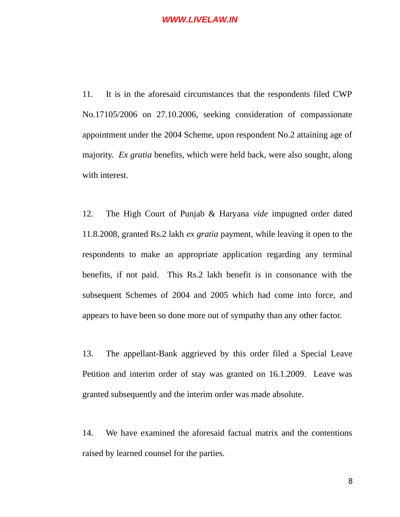11. It is in the aforesaid circumstances that the respondents filed CWP No.17105/2006 on 27.10.2006, seeking consideration of compassionate appointment under the 2004 Scheme, upon respondent No.2 attaining age of majority. *Ex gratia* benefits, which were held back, were also sought, along with interest.

12. The High Court of Punjab & Haryana *vide* impugned order dated 11.8.2008, granted Rs.2 lakh *ex gratia* payment, while leaving it open to the respondents to make an appropriate application regarding any terminal benefits, if not paid. This Rs.2 lakh benefit is in consonance with the subsequent Schemes of 2004 and 2005 which had come into force, and appears to have been so done more out of sympathy than any other factor.

13. The appellant-Bank aggrieved by this order filed a Special Leave Petition and interim order of stay was granted on 16.1.2009. Leave was granted subsequently and the interim order was made absolute.

14. We have examined the aforesaid factual matrix and the contentions raised by learned counsel for the parties.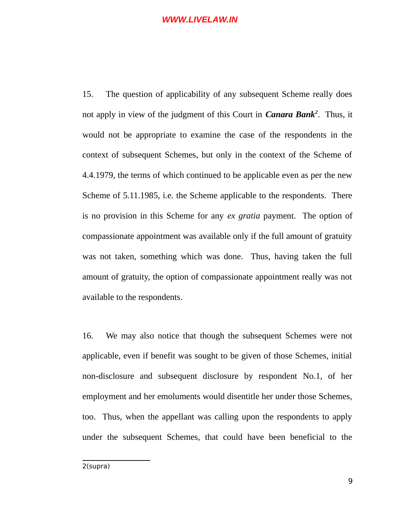15. The question of applicability of any subsequent Scheme really does not apply in view of the judgment of this Court in *Canara Bank[2](#page-8-0)* . Thus, it would not be appropriate to examine the case of the respondents in the context of subsequent Schemes, but only in the context of the Scheme of 4.4.1979, the terms of which continued to be applicable even as per the new Scheme of 5.11.1985, i.e. the Scheme applicable to the respondents. There is no provision in this Scheme for any *ex gratia* payment. The option of compassionate appointment was available only if the full amount of gratuity was not taken, something which was done. Thus, having taken the full amount of gratuity, the option of compassionate appointment really was not available to the respondents.

<span id="page-8-0"></span>16. We may also notice that though the subsequent Schemes were not applicable, even if benefit was sought to be given of those Schemes, initial non-disclosure and subsequent disclosure by respondent No.1, of her employment and her emoluments would disentitle her under those Schemes, too. Thus, when the appellant was calling upon the respondents to apply under the subsequent Schemes, that could have been beneficial to the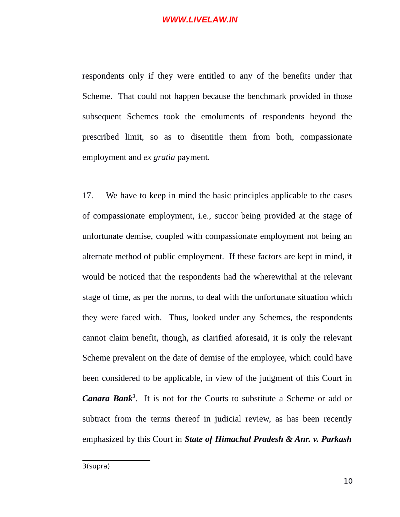respondents only if they were entitled to any of the benefits under that Scheme. That could not happen because the benchmark provided in those subsequent Schemes took the emoluments of respondents beyond the prescribed limit, so as to disentitle them from both, compassionate employment and *ex gratia* payment.

<span id="page-9-0"></span>17. We have to keep in mind the basic principles applicable to the cases of compassionate employment, i.e., succor being provided at the stage of unfortunate demise, coupled with compassionate employment not being an alternate method of public employment. If these factors are kept in mind, it would be noticed that the respondents had the wherewithal at the relevant stage of time, as per the norms, to deal with the unfortunate situation which they were faced with. Thus, looked under any Schemes, the respondents cannot claim benefit, though, as clarified aforesaid, it is only the relevant Scheme prevalent on the date of demise of the employee, which could have been considered to be applicable, in view of the judgment of this Court in *Canara Bank[3](#page-9-0)* . It is not for the Courts to substitute a Scheme or add or subtract from the terms thereof in judicial review, as has been recently emphasized by this Court in *State of Himachal Pradesh & Anr. v. Parkash*